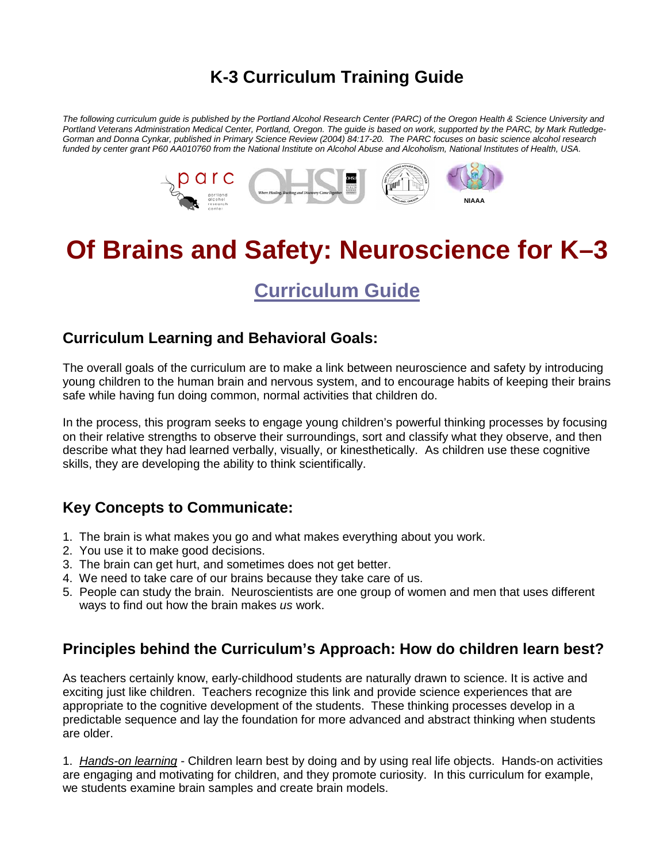## **K-3 Curriculum Training Guide**

*The following curriculum guide is published by the Portland Alcohol Research Center (PARC) of the Oregon Health & Science University and Portland Veterans Administration Medical Center, Portland, Oregon. The guide is based on work, supported by the PARC, by Mark Rutledge-Gorman and Donna Cynkar, published in Primary Science Review (2004) 84:17-20. The PARC focuses on basic science alcohol research funded by center grant P60 AA010760 from the National Institute on Alcohol Abuse and Alcoholism, National Institutes of Health, USA.*



# **Of Brains and Safety: Neuroscience for K–3**

## **Curriculum Guide**

### **Curriculum Learning and Behavioral Goals:**

The overall goals of the curriculum are to make a link between neuroscience and safety by introducing young children to the human brain and nervous system, and to encourage habits of keeping their brains safe while having fun doing common, normal activities that children do.

In the process, this program seeks to engage young children's powerful thinking processes by focusing on their relative strengths to observe their surroundings, sort and classify what they observe, and then describe what they had learned verbally, visually, or kinesthetically. As children use these cognitive skills, they are developing the ability to think scientifically.

## **Key Concepts to Communicate:**

- 1. The brain is what makes you go and what makes everything about you work.
- 2. You use it to make good decisions.
- 3. The brain can get hurt, and sometimes does not get better.
- 4. We need to take care of our brains because they take care of us.
- 5. People can study the brain. Neuroscientists are one group of women and men that uses different ways to find out how the brain makes *us* work.

## **Principles behind the Curriculum's Approach: How do children learn best?**

As teachers certainly know, early-childhood students are naturally drawn to science. It is active and exciting just like children. Teachers recognize this link and provide science experiences that are appropriate to the cognitive development of the students. These thinking processes develop in a predictable sequence and lay the foundation for more advanced and abstract thinking when students are older.

1. *Hands-on learning* - Children learn best by doing and by using real life objects. Hands-on activities are engaging and motivating for children, and they promote curiosity. In this curriculum for example, we students examine brain samples and create brain models.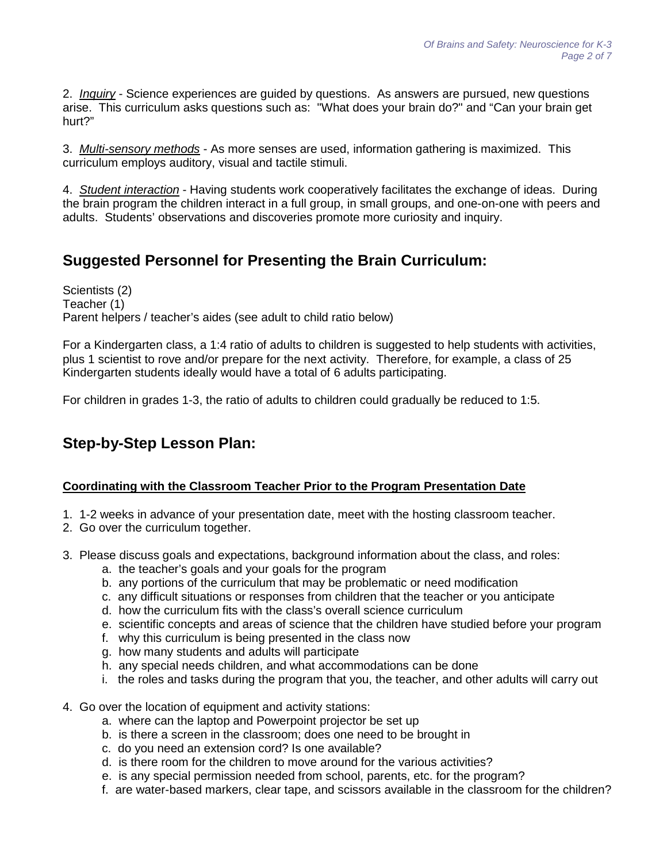2. *Inquiry* - Science experiences are guided by questions. As answers are pursued, new questions arise. This curriculum asks questions such as: "What does your brain do?" and "Can your brain get hurt?"

3. *Multi-sensory methods* - As more senses are used, information gathering is maximized. This curriculum employs auditory, visual and tactile stimuli.

4. *Student interaction* - Having students work cooperatively facilitates the exchange of ideas. During the brain program the children interact in a full group, in small groups, and one-on-one with peers and adults. Students' observations and discoveries promote more curiosity and inquiry.

## **Suggested Personnel for Presenting the Brain Curriculum:**

Scientists (2) Teacher (1) Parent helpers / teacher's aides (see adult to child ratio below)

For a Kindergarten class, a 1:4 ratio of adults to children is suggested to help students with activities, plus 1 scientist to rove and/or prepare for the next activity. Therefore, for example, a class of 25 Kindergarten students ideally would have a total of 6 adults participating.

For children in grades 1-3, the ratio of adults to children could gradually be reduced to 1:5.

## **Step-by-Step Lesson Plan:**

#### **Coordinating with the Classroom Teacher Prior to the Program Presentation Date**

- 1. 1-2 weeks in advance of your presentation date, meet with the hosting classroom teacher.
- 2. Go over the curriculum together.
- 3. Please discuss goals and expectations, background information about the class, and roles:
	- a. the teacher's goals and your goals for the program
	- b. any portions of the curriculum that may be problematic or need modification
	- c. any difficult situations or responses from children that the teacher or you anticipate
	- d. how the curriculum fits with the class's overall science curriculum
	- e. scientific concepts and areas of science that the children have studied before your program
	- f. why this curriculum is being presented in the class now
	- g. how many students and adults will participate
	- h. any special needs children, and what accommodations can be done
	- i. the roles and tasks during the program that you, the teacher, and other adults will carry out
- 4. Go over the location of equipment and activity stations:
	- a. where can the laptop and Powerpoint projector be set up
	- b. is there a screen in the classroom; does one need to be brought in
	- c. do you need an extension cord? Is one available?
	- d. is there room for the children to move around for the various activities?
	- e. is any special permission needed from school, parents, etc. for the program?
	- f. are water-based markers, clear tape, and scissors available in the classroom for the children?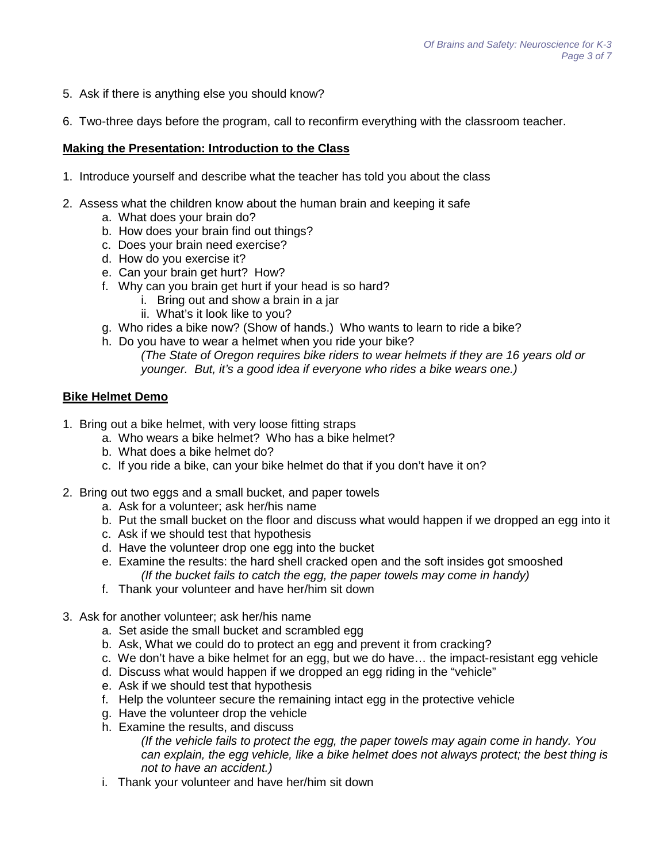- 5. Ask if there is anything else you should know?
- 6. Two-three days before the program, call to reconfirm everything with the classroom teacher.

#### **Making the Presentation: Introduction to the Class**

- 1. Introduce yourself and describe what the teacher has told you about the class
- 2. Assess what the children know about the human brain and keeping it safe
	- a. What does your brain do?
	- b. How does your brain find out things?
	- c. Does your brain need exercise?
	- d. How do you exercise it?
	- e. Can your brain get hurt? How?
	- f. Why can you brain get hurt if your head is so hard?
		- i. Bring out and show a brain in a jar
		- ii. What's it look like to you?
	- g. Who rides a bike now? (Show of hands.) Who wants to learn to ride a bike?
	- h. Do you have to wear a helmet when you ride your bike?
		- *(The State of Oregon requires bike riders to wear helmets if they are 16 years old or younger. But, it's a good idea if everyone who rides a bike wears one.)*

#### **Bike Helmet Demo**

- 1. Bring out a bike helmet, with very loose fitting straps
	- a. Who wears a bike helmet? Who has a bike helmet?
	- b. What does a bike helmet do?
	- c. If you ride a bike, can your bike helmet do that if you don't have it on?
- 2. Bring out two eggs and a small bucket, and paper towels
	- a. Ask for a volunteer; ask her/his name
	- b. Put the small bucket on the floor and discuss what would happen if we dropped an egg into it
	- c. Ask if we should test that hypothesis
	- d. Have the volunteer drop one egg into the bucket
	- e. Examine the results: the hard shell cracked open and the soft insides got smooshed *(If the bucket fails to catch the egg, the paper towels may come in handy)*
	- f. Thank your volunteer and have her/him sit down
- 3. Ask for another volunteer; ask her/his name
	- a. Set aside the small bucket and scrambled egg
	- b. Ask, What we could do to protect an egg and prevent it from cracking?
	- c. We don't have a bike helmet for an egg, but we do have… the impact-resistant egg vehicle
	- d. Discuss what would happen if we dropped an egg riding in the "vehicle"
	- e. Ask if we should test that hypothesis
	- f. Help the volunteer secure the remaining intact egg in the protective vehicle
	- g. Have the volunteer drop the vehicle
	- h. Examine the results, and discuss

*(If the vehicle fails to protect the egg, the paper towels may again come in handy. You can explain, the egg vehicle, like a bike helmet does not always protect; the best thing is not to have an accident.)*

i. Thank your volunteer and have her/him sit down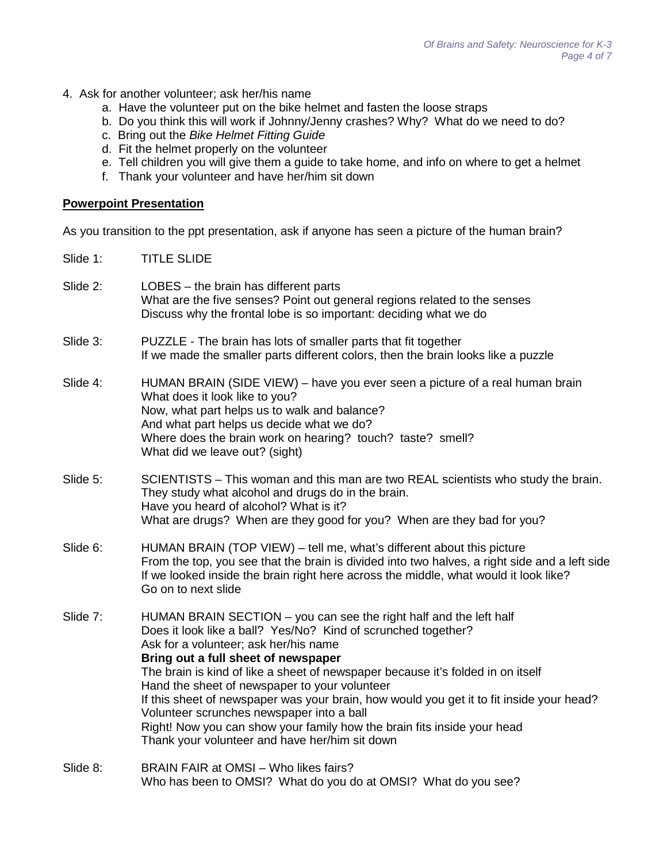- 4. Ask for another volunteer; ask her/his name
	- a. Have the volunteer put on the bike helmet and fasten the loose straps
	- b. Do you think this will work if Johnny/Jenny crashes? Why? What do we need to do?
	- c. Bring out the *Bike Helmet Fitting Guide*
	- d. Fit the helmet properly on the volunteer
	- e. Tell children you will give them a guide to take home, and info on where to get a helmet
	- f. Thank your volunteer and have her/him sit down

#### **Powerpoint Presentation**

As you transition to the ppt presentation, ask if anyone has seen a picture of the human brain?

Slide 1: TITLE SLIDE

| Slide 2: | LOBES - the brain has different parts<br>What are the five senses? Point out general regions related to the senses<br>Discuss why the frontal lobe is so important: deciding what we do                                                                                                                                                                                                                                                                                                                                                                                                                                       |
|----------|-------------------------------------------------------------------------------------------------------------------------------------------------------------------------------------------------------------------------------------------------------------------------------------------------------------------------------------------------------------------------------------------------------------------------------------------------------------------------------------------------------------------------------------------------------------------------------------------------------------------------------|
| Slide 3: | PUZZLE - The brain has lots of smaller parts that fit together<br>If we made the smaller parts different colors, then the brain looks like a puzzle                                                                                                                                                                                                                                                                                                                                                                                                                                                                           |
| Slide 4: | HUMAN BRAIN (SIDE VIEW) – have you ever seen a picture of a real human brain<br>What does it look like to you?<br>Now, what part helps us to walk and balance?<br>And what part helps us decide what we do?<br>Where does the brain work on hearing? touch? taste? smell?<br>What did we leave out? (sight)                                                                                                                                                                                                                                                                                                                   |
| Slide 5: | SCIENTISTS – This woman and this man are two REAL scientists who study the brain.<br>They study what alcohol and drugs do in the brain.<br>Have you heard of alcohol? What is it?<br>What are drugs? When are they good for you? When are they bad for you?                                                                                                                                                                                                                                                                                                                                                                   |
| Slide 6: | HUMAN BRAIN (TOP VIEW) – tell me, what's different about this picture<br>From the top, you see that the brain is divided into two halves, a right side and a left side<br>If we looked inside the brain right here across the middle, what would it look like?<br>Go on to next slide                                                                                                                                                                                                                                                                                                                                         |
| Slide 7: | HUMAN BRAIN SECTION - you can see the right half and the left half<br>Does it look like a ball? Yes/No? Kind of scrunched together?<br>Ask for a volunteer; ask her/his name<br>Bring out a full sheet of newspaper<br>The brain is kind of like a sheet of newspaper because it's folded in on itself<br>Hand the sheet of newspaper to your volunteer<br>If this sheet of newspaper was your brain, how would you get it to fit inside your head?<br>Volunteer scrunches newspaper into a ball<br>Right! Now you can show your family how the brain fits inside your head<br>Thank your volunteer and have her/him sit down |
| Slide 8: | BRAIN FAIR at OMSI - Who likes fairs?                                                                                                                                                                                                                                                                                                                                                                                                                                                                                                                                                                                         |

Who has been to OMSI? What do you do at OMSI? What do you see?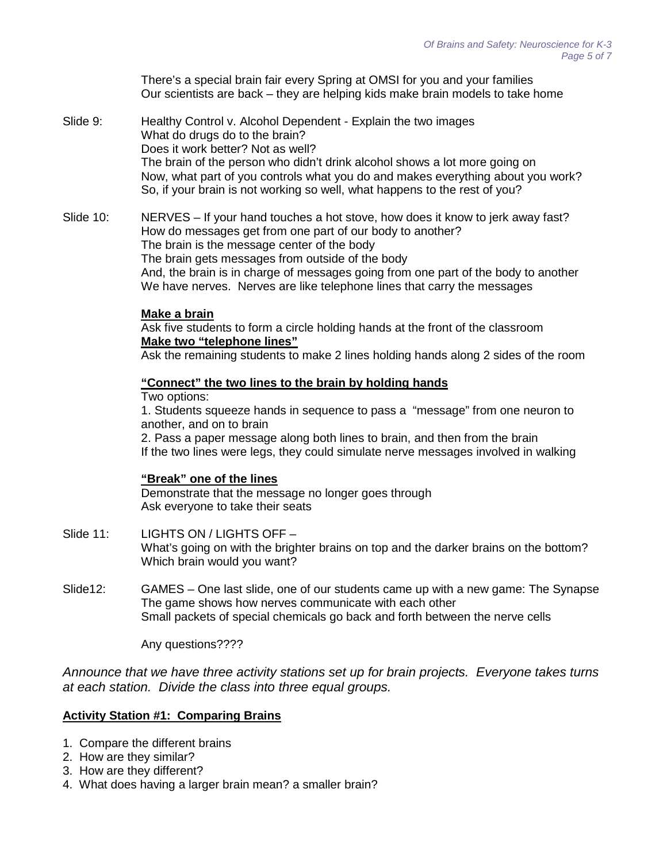There's a special brain fair every Spring at OMSI for you and your families Our scientists are back – they are helping kids make brain models to take home

- Slide 9: Healthy Control v. Alcohol Dependent Explain the two images What do drugs do to the brain? Does it work better? Not as well? The brain of the person who didn't drink alcohol shows a lot more going on Now, what part of you controls what you do and makes everything about you work? So, if your brain is not working so well, what happens to the rest of you?
- Slide 10: NERVES If your hand touches a hot stove, how does it know to jerk away fast? How do messages get from one part of our body to another? The brain is the message center of the body The brain gets messages from outside of the body And, the brain is in charge of messages going from one part of the body to another We have nerves. Nerves are like telephone lines that carry the messages

#### **Make a brain**

Ask five students to form a circle holding hands at the front of the classroom **Make two "telephone lines"**

Ask the remaining students to make 2 lines holding hands along 2 sides of the room

#### **"Connect" the two lines to the brain by holding hands**

#### Two options:

1. Students squeeze hands in sequence to pass a "message" from one neuron to another, and on to brain

2. Pass a paper message along both lines to brain, and then from the brain If the two lines were legs, they could simulate nerve messages involved in walking

#### **"Break" one of the lines**

Demonstrate that the message no longer goes through Ask everyone to take their seats

- Slide 11: LIGHTS ON / LIGHTS OFF -What's going on with the brighter brains on top and the darker brains on the bottom? Which brain would you want?
- Slide12: GAMES One last slide, one of our students came up with a new game: The Synapse The game shows how nerves communicate with each other Small packets of special chemicals go back and forth between the nerve cells

Any questions????

*Announce that we have three activity stations set up for brain projects. Everyone takes turns at each station. Divide the class into three equal groups.*

#### **Activity Station #1: Comparing Brains**

- 1. Compare the different brains
- 2. How are they similar?
- 3. How are they different?
- 4. What does having a larger brain mean? a smaller brain?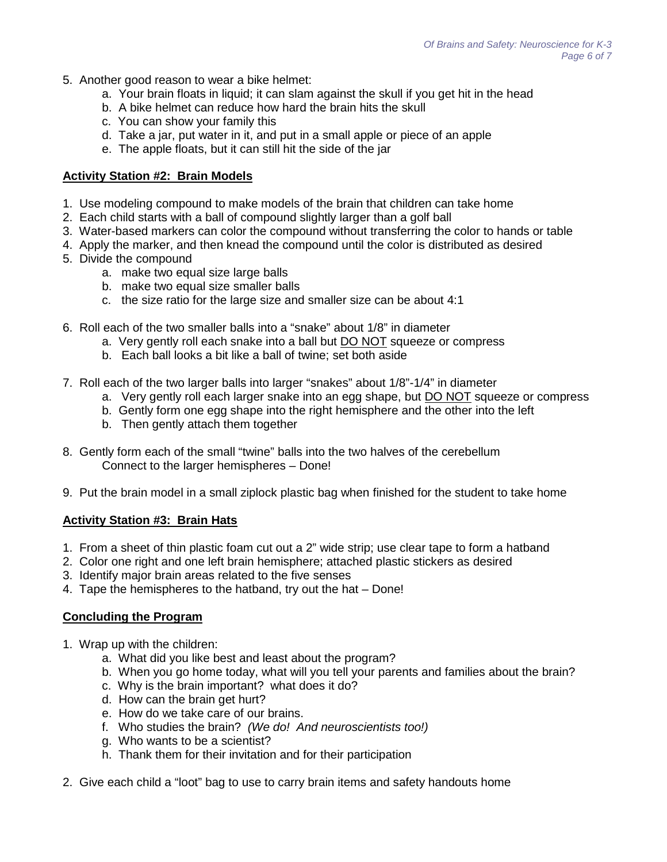- 5. Another good reason to wear a bike helmet:
	- a. Your brain floats in liquid; it can slam against the skull if you get hit in the head
	- b. A bike helmet can reduce how hard the brain hits the skull
	- c. You can show your family this
	- d. Take a jar, put water in it, and put in a small apple or piece of an apple
	- e. The apple floats, but it can still hit the side of the jar

#### **Activity Station #2: Brain Models**

- 1. Use modeling compound to make models of the brain that children can take home
- 2. Each child starts with a ball of compound slightly larger than a golf ball
- 3. Water-based markers can color the compound without transferring the color to hands or table
- 4. Apply the marker, and then knead the compound until the color is distributed as desired
- 5. Divide the compound
	- a. make two equal size large balls
	- b. make two equal size smaller balls
	- c. the size ratio for the large size and smaller size can be about 4:1
- 6. Roll each of the two smaller balls into a "snake" about 1/8" in diameter
	- a. Very gently roll each snake into a ball but DO NOT squeeze or compress
	- b. Each ball looks a bit like a ball of twine; set both aside
- 7. Roll each of the two larger balls into larger "snakes" about 1/8"-1/4" in diameter
	- a. Very gently roll each larger snake into an egg shape, but DO NOT squeeze or compress
	- b. Gently form one egg shape into the right hemisphere and the other into the left
	- b. Then gently attach them together
- 8. Gently form each of the small "twine" balls into the two halves of the cerebellum Connect to the larger hemispheres – Done!
- 9. Put the brain model in a small ziplock plastic bag when finished for the student to take home

#### **Activity Station #3: Brain Hats**

- 1. From a sheet of thin plastic foam cut out a 2" wide strip; use clear tape to form a hatband
- 2. Color one right and one left brain hemisphere; attached plastic stickers as desired
- 3. Identify major brain areas related to the five senses
- 4. Tape the hemispheres to the hatband, try out the hat Done!

#### **Concluding the Program**

- 1. Wrap up with the children:
	- a. What did you like best and least about the program?
	- b. When you go home today, what will you tell your parents and families about the brain?
	- c. Why is the brain important? what does it do?
	- d. How can the brain get hurt?
	- e. How do we take care of our brains.
	- f. Who studies the brain? *(We do! And neuroscientists too!)*
	- g. Who wants to be a scientist?
	- h. Thank them for their invitation and for their participation
- 2. Give each child a "loot" bag to use to carry brain items and safety handouts home